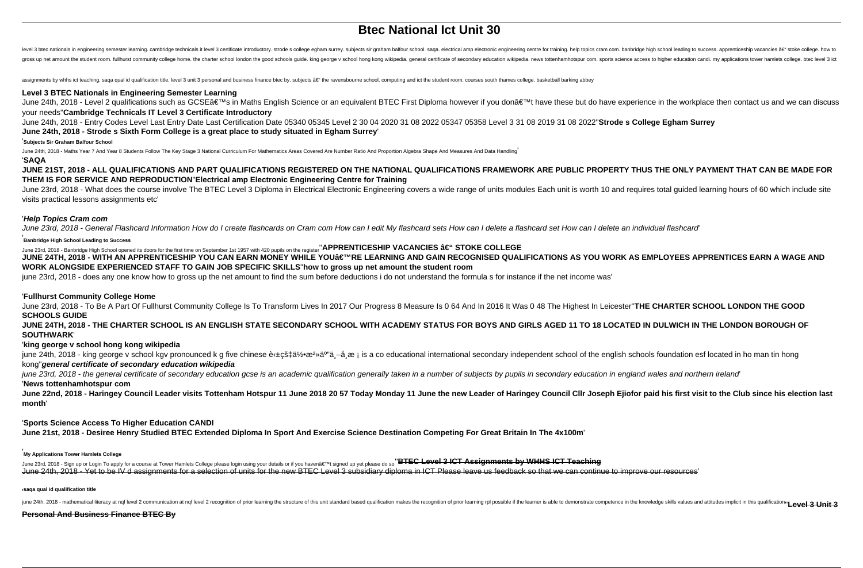# **Btec National Ict Unit 30**

level 3 btec nationals in engineering semester learning. cambridge technicals it level 3 certificate introductory. strode s college egham surrey. subjects sir graham balfour school. saga. electrical amp electronic enginee gross up net amount the student room. fullhurst community college home. the charter school london the good schools guide. king george v school hong kong wikipedia. general certificate of secondary education wikipedia. news

assignments by whhs ict teaching. saqa qual id qualification title. level 3 unit 3 personal and business finance btec by. subjects â€" the ravensbourne school. computing and ict the student room. courses south thames coll

#### **Level 3 BTEC Nationals in Engineering Semester Learning**

June 24th, 2018 - Level 2 qualifications such as GCSE's in Maths English Science or an equivalent BTEC First Diploma however if you don't have these but do have experience in the workplace then contact us and we can d your needs''**Cambridge Technicals IT Level 3 Certificate Introductory**

June 24th, 2018 - Entry Codes Level Last Entry Date Last Certification Date 05340 05345 Level 2 30 04 2020 31 08 2022 05347 05358 Level 3 31 08 2019 31 08 2022''**Strode s College Egham Surrey June 24th, 2018 - Strode s Sixth Form College is a great place to study situated in Egham Surrey**'

#### '**Subjects Sir Graham Balfour School**

June 24th, 2018 - Maths Year 7 And Year 8 Students Follow The Key Stage 3 National Curriculum For Mathematics Areas Covered Are Number Ratio And Proportion Algebra Shape And Measures And Data Handling

## '**SAQA**

**JUNE 21ST, 2018 - ALL QUALIFICATIONS AND PART QUALIFICATIONS REGISTERED ON THE NATIONAL QUALIFICATIONS FRAMEWORK ARE PUBLIC PROPERTY THUS THE ONLY PAYMENT THAT CAN BE MADE FOR THEM IS FOR SERVICE AND REPRODUCTION**''**Electrical amp Electronic Engineering Centre for Training**

June 23rd, 2018 - What does the course involve The BTEC Level 3 Diploma in Electrical Electronic Engineering covers a wide range of units modules Each unit is worth 10 and requires total quided learning hours of 60 which i visits practical lessons assignments etc'

## '**Help Topics Cram com**

June 23rd, 2018 - General Flashcard Information How do I create flashcards on Cram com How can I edit My flashcard sets How can I delete a flashcard set How can I delete an individual flashcard

## **Banbridge High School Leading to Success**

June 23rd, 2018 - Banbridge High School opened its doors for the first time on September 1st 1957 with 420 pupils on the register" **APPRENTICESHIP VACANCIES â€" STOKE COLLEGE JUNE 24TH, 2018 - WITH AN APPRENTICESHIP YOU CAN EARN MONEY WHILE YOU'RE LEARNING AND GAIN RECOGNISED QUALIFICATIONS AS YOU WORK AS EMPLOYEES APPRENTICES EARN A WAGE AND WORK ALONGSIDE EXPERIENCED STAFF TO GAIN JOB SPECIFIC SKILLS**''**how to gross up net amount the student room**

june 23rd, 2018 - does any one know how to gross up the net amount to find the sum before deductions i do not understand the formula s for instance if the net income was'

## '**Fullhurst Community College Home**

June 23rd, 2018 - To Be A Part Of Fullhurst Community College Is To Transform Lives In 2017 Our Progress 8 Measure Is 0 64 And In 2016 It Was 0 48 The Highest In Leicester''**THE CHARTER SCHOOL LONDON THE GOOD SCHOOLS GUIDE**

**JUNE 24TH, 2018 - THE CHARTER SCHOOL IS AN ENGLISH STATE SECONDARY SCHOOL WITH ACADEMY STATUS FOR BOYS AND GIRLS AGED 11 TO 18 LOCATED IN DULWICH IN THE LONDON BOROUGH OF SOUTHWARK**'

## '**king george v school hong kong wikipedia**

june 24th, 2018 - king george v school kgv pronounced k g five chinese et  $\pm c \pm \frac{3}{2}$  and  $\pm c$  is a co educational international secondary independent school of the english schools foundation esf located in ho man tin kong''**general certificate of secondary education wikipedia**

june 23rd, 2018 - the general certificate of secondary education gcse is an academic qualification generally taken in a number of subjects by pupils in secondary education in england wales and northern ireland

## '**News tottenhamhotspur com**

June 22nd, 2018 - Haringey Council Leader visits Tottenham Hotspur 11 June 2018 20 57 Today Monday 11 June the new Leader of Haringey Council Cllr Joseph Ejiofor paid his first visit to the Club since his election last **month**'

## '**Sports Science Access To Higher Education CANDI**

**June 21st, 2018 - Desiree Henry Studied BTEC Extended Diploma In Sport And Exercise Science Destination Competing For Great Britain In The 4x100m**'

## '**My Applications Tower Hamlets College**

June 23rd, 2018 - Sign up or Login To apply for a course at Tower Hamlets College please login using your details or if you haven a∈™t signed up yet please do so''BTEC Level 3 ICT Assignments by WHHS ICT Teaching June 24th, 2018 - Yet to be IV d assignments for a selection of units for the new BTEC Level 3 subsidiary diploma in ICT Please leave us feedback so that we can continue to improve our resources'

#### '**saqa qual id qualification title**

iune 24th, 2018 - mathematical literacy at nqf level 2 communication at nqf level 2 recognition of prior learning the structure of this unit standard based qualification makes the recognition of prior learning rpl possible

#### **Personal And Business Finance BTEC By**